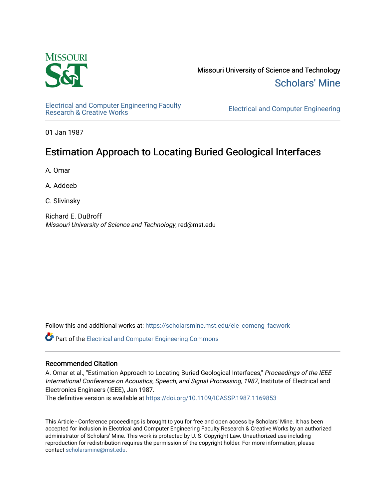

Missouri University of Science and Technology [Scholars' Mine](https://scholarsmine.mst.edu/) 

[Electrical and Computer Engineering Faculty](https://scholarsmine.mst.edu/ele_comeng_facwork)

**Electrical and Computer Engineering** 

01 Jan 1987

# Estimation Approach to Locating Buried Geological Interfaces

A. Omar

A. Addeeb

C. Slivinsky

Richard E. DuBroff Missouri University of Science and Technology, red@mst.edu

Follow this and additional works at: [https://scholarsmine.mst.edu/ele\\_comeng\\_facwork](https://scholarsmine.mst.edu/ele_comeng_facwork?utm_source=scholarsmine.mst.edu%2Fele_comeng_facwork%2F1025&utm_medium=PDF&utm_campaign=PDFCoverPages)

**C** Part of the Electrical and Computer Engineering Commons

# Recommended Citation

A. Omar et al., "Estimation Approach to Locating Buried Geological Interfaces," Proceedings of the IEEE International Conference on Acoustics, Speech, and Signal Processing, 1987, Institute of Electrical and Electronics Engineers (IEEE), Jan 1987.

The definitive version is available at <https://doi.org/10.1109/ICASSP.1987.1169853>

This Article - Conference proceedings is brought to you for free and open access by Scholars' Mine. It has been accepted for inclusion in Electrical and Computer Engineering Faculty Research & Creative Works by an authorized administrator of Scholars' Mine. This work is protected by U. S. Copyright Law. Unauthorized use including reproduction for redistribution requires the permission of the copyright holder. For more information, please contact [scholarsmine@mst.edu](mailto:scholarsmine@mst.edu).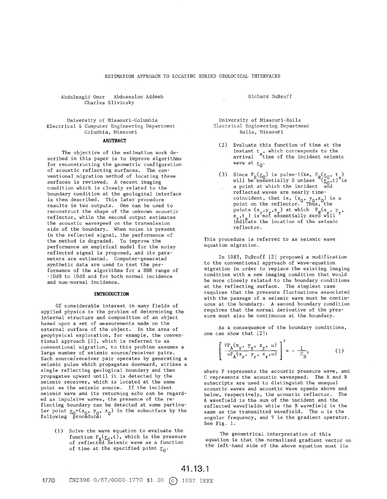### ESTIMATION APPROACH TO LOCATING BURIED GEOLOGICAL INTERFACES

Abdulmagid Omar Abdussalam Addeeb Charles Slivinsky

University of Missouri-Columbia Electrical & Computer Engineering Department Columbia, Missouri

#### **ABSTRACT**

The objective of the estimation work described in this paper is to improve algorithms for reconstructing the geometric configuration of acoustic reflecting surfaces. The conventional migration method of locating these surfaces is reviewed. **A** recent imaging condition which is closely related to the boundary condition at the geological interface is then described. This later procedure results in two outputs. One can be used to reconstruct the shape of the unknown acoustic reflector, while the second output estimates the acoustic wavespeed on the transmission side of the boundary. When noise is present in the reflected signal, the performance of the method is degraded. To improve the performance an empirical model for the noisy reflected signal is proposed, and its parameters are estimated. Computer-generated synthetic data are used to test the performance of the algorithms for a SNR range of -10dB to lOdB and for both normal incidence and non-normal incidence.

#### **INTRODUCTION**

Of considerable interest in many fields of applied physics is the problem of determining the internal structure and composition of an object based upon a set of measurements made on the external surface of the object. In the area of geophysical exploration, for example, the conventional approach [11, which is referred to as conventional migration, to this problem assumes a large number of seismic source/receiver pairs. Each source/receiver pair operates by generating a seismic pulse which propagates downward, strikes a single reflecting geological boundary and then propagates upward until it is detected by the seismic receiver, which is located at the same point as the seismic source. If the incident seismic wave and its returning echo can be regarded as impulsive waves, the presence of the reflecting boundary can be detected at some particu-Lar point  $\underline{r}_0 = (x_0, y_0, z_0)$  in the subsurface by the  $f_{\text{allowing}} = 0 \quad \text{for} \quad f_0, \quad f_0$ .

(1) Solve the wave equation to evaluate the function  $P_p(\underline{r}_0,t)$ , which is the pressure of reflected seismic wave as a function of time at the specified point  $\underline{r}_0$ .

Richard DuBroff

University of Missouri-Rolla Electrical Engineering Department Rolla, Missouri

- (2) Evaluate this function of time at the instant  $\mathsf{t}_c$ , which corresponds to the arrival <sup>S</sup>time of the incident seismic wave at  $\underline{\mathbf{r}}_0\cdot$
- (3) Since  $P_R(\underline{r}_0)$  is pulse-like,  $P_R(\underline{r}_0, t_s)$ <br>will be essentially 0 unless  $(\underline{r}_0, t)$  is a point at which the incident and reflected waves are nearly timecoincident, that is,  $(x_0, y_0, z_0)$  is a point on the reflector. Thus, the points  $(x_{r}, y_{r}, z_{r})$  at which  $P_{p}(x_{r}, y_{r})$  $z_{\texttt{r}},t_{\texttt{c}}$ ) is not essentially zero will  $\lim_{t \to \infty} \frac{1}{t}$  is not essencially acrowled the seismic reflector.

This procedure is referred to as seismic wave equation migration.

In 1983, DuBroff [21 proposed a modification to the conventional approach of wave-equation migration in.order to replace the existing imaging condition with a new imaging condition that would be more closely related to the boundary conditions at the reflecting surface. The simplest case requires that the pressure fluctuations associated with the passage of a seismic wave must be continuous at the boundary. A second boundary condition requires that the normal derivative of the pressure must also be continuous at the boundary.

**As** a consequence of the boundary conditions, one can show that [2]:

$$
\left[\frac{\nabla P_A(x_r, y_r, z_r, \omega)}{\omega P_A(x_r, y_r, z_r, \omega)}\right]^2 = -\frac{1}{C_B^2} \tag{1}
$$

where P represents the acoustic pressure wave, and C represents the acoustic wavespeed. The **A** and B subscripts are used to distinguish the unequal acoustic waves and acoustic wave speeds above and<br>below, respectively, the acoustic reflector. The below, respectively, the acoustic reflector. A wavefield is the sum of the incident and the reflected wavefields while the B wavefield is the same as the transmitted wavefield. The w is the angular frequency, and  $\nabla$  is the gradient operator. See Pig. 1.

The geometrical interpretation of this equation is that the normalized gradient vector on the left-hand side of the above equation must lie

41.13.1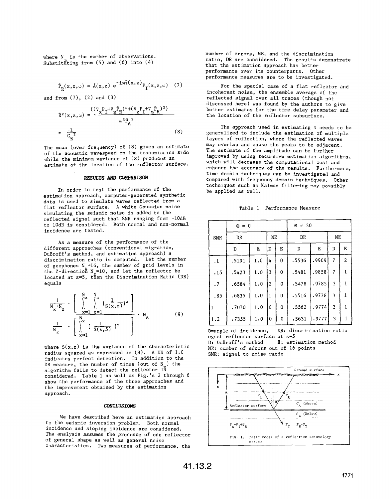where N is the number of observations. Substituting from (5) and (6) into (4)

$$
\hat{P}_{R}(x,z,\omega) = \hat{A}(x,z) e^{-i\omega \hat{\tau}(x,z)} P_{I}(x,z,\omega)
$$
 (7)

and from  $(7)$ ,  $(2)$  and  $(3)$ 

$$
\hat{\mathbf{R}}^{2}(\mathbf{x}, z, \omega) = \frac{\{(\nabla_{\mathbf{x}} \mathbf{P}_{\mathbf{I}} + \nabla_{\mathbf{x}} \hat{\mathbf{P}}_{\mathbf{R}})^{2} + (\nabla_{\mathbf{z}} \mathbf{P}_{\mathbf{I}} + \nabla_{\mathbf{z}} \hat{\mathbf{P}}_{\mathbf{R}})^{2}\}}{\omega^{2} \hat{\mathbf{P}}_{\mathbf{A}}^{2}}\n= \frac{-1}{C_{\mathbf{B}}^{2}}\n\tag{8}
$$

The mean (over frequency) of **(8)** gives an estimate of the acoustic wavespeed on the transmission side while the minimum variance of (8) produces an estimate of the location of the reflector surface.

#### **RESULTS** *AND* **CWARISON**

In order to test the performance of the estimation approach, computer-generated synthetic data is used to simulate waves reflected from a flat reflector surface. **A** white Gaussian noise simulating the seismic noise is added to the reflected signal such that SNR ranging from -10dB to lOdB is considered. Both normal and non-normal incidence are tested.

**As** a measure of the performance of the different approaches (conventional migration, DuBroff's method, and estimation approach) a discrimination ratio is computed. Let the number of geophones  $N = 16$ , the number of grid levels in the Z-direction  $N = 10$ , and let the reflector be located at z=5, then the Discrimination Ratio (DR) equals

$$
\frac{1}{N_x \cdot N_z} \cdot \left[ \sum_{x=1}^{N_x} \sum_{z=1}^{N_z} \left[ \frac{1}{S(x, z)} \right]^2 \right] \cdot N_z
$$
\n
$$
\frac{1}{N_x} \cdot \left[ \sum_{x=1}^{N_x} \left[ \frac{1}{S(x, 5)} \right]^2 \right] \cdot N_z
$$
\n(9)

where  $S(x, z)$  is the variance of the characteristic radius squared as expressed in *(8).* **A** DR of 1.0 indicates perfect detection, In addition to the DR measure, the number of times (out of  $N$ ) the algorithm fails **to** detect the reflector if considered. Table **1** as well as Fig.'s *2* through *6*  show the performance of the three approaches and the improvement obtained by the estimation approach.

#### **CONCLUSIONS**

We have described here an estimation approach to the seismic inversion problem. Both normal incidence and sloping incidence are considered. The analysis assumes the presence *of* one reflector of general shape as well as general noise characteristics. Two measures of performance, the number of errors, NE, and the discrimination ratio, DR are considered. The results demonstrate that the estimation approach has better performance over its counterparts. Other performance measures are to be investigated.

For the special case of a flat reflector and incoherent noise, the ensemble average *of* the reflected signal over all traces (though not discussed here) was found by the authors to give better estimates for the time delay parameter and the location of the reflector subsurface.

The approach used in estimating **z** needs to be generalized to include the estimation of multiple layers of reflection, where the reflected waves may overlap and cause the peaks to be adjacent. The estimate of the amplitude can be further improved by using recursive estimation algorithms, which will decrease the computational cost and enhance the accuracy of the results. Furthermore, time domain techniques can be investigated and compared with frequency domain techniques. Other techniques such as Kalman filtering may possibly be applied as well.

| Performance Measure<br>Table 1 |  |
|--------------------------------|--|
|--------------------------------|--|

|              | $\Theta = 0$ |     |              |   | $\Theta = 30$ |       |           |              |
|--------------|--------------|-----|--------------|---|---------------|-------|-----------|--------------|
| <b>SNR</b>   | DR           |     | NE           |   | DR            |       | <b>NE</b> |              |
|              | D            | E   | D            | Е | D             | Е     | D         | Ε            |
| $\cdot$ 1    | .5191        | 1.0 | 4            | 0 | .5536         | .9909 | 7         | 2            |
| .15          | .5423        | 1.0 | 3            | 0 | .5481         | .9858 | 7         | 1            |
| $\cdot$ 7    | .6584        | 1.0 | 2            | 0 | .5478         | .9785 | 3         | 1            |
| .85          | .6835        | 1.0 | $\mathbf{1}$ | 0 | .5516         | .9778 | 3         | $\mathbf{1}$ |
| $\mathbf{1}$ | .7070        | 1.0 | 0            | 0 | .5562         | .9774 | 3         | 1            |
| 1.2          | .7355        | 1.0 | 0            | 0 | .5631         | .9777 | 3         | 1            |

exact reflector surface at *z=5*  D: DuBroff's method **NE:** number of errors out of *16* points SNR: signal to noise ratio

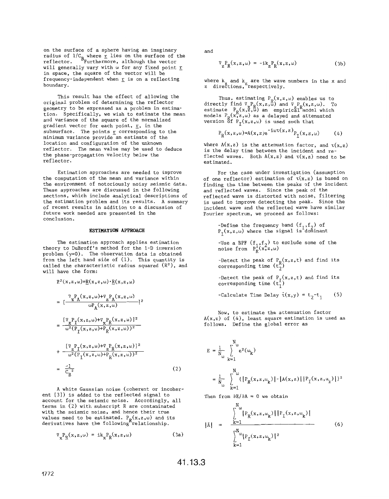on the surface of a sphere having an imaginary radius of  $1/C_{B_m}$  where  $r$  lies on the surface of the reflector. Furthermore, although the vector will generally vary with  $\omega$  for any fixed point **r** in space, the square of the vector will be frequency-independent when *r* is on a reflecting boundary.

This result has the effect of allowing the original problem of determining the reflector geometry to be expressed as a problem in estimation. Specifically, we wish to estimate the mean and variance of the square of the normalized gradient vector for each point, *E,* in the subsurface. The points *r* corresponding to the minimum variance provide an estimate of the location and configuration of the unknown reflector. The mean value may be used to deduce the phase-propagation velocity below the reflector.

Estimation approaches are needed to improve the computation of the mean and variance within the environment of notoriously noisy seismic data. These approaches are discussed in the following sections, which include analytical descriptions of the estimation problem and its results. A summary of recent results in addition to a discussion of future work needed are presented in the conclusion.

#### **ESTIMATION APPROACH**

The estimation approach applies estimation theory to DuBroff's method for the 1-D inversion problem (v=O). The observation data **is** obtained irom the ieft hand side of (1). This quantity is called the characteristic radius squared (R<sup>2</sup>), and will have the form:

$$
R^{2}(x, z, \omega) = \underline{R}(x, z, \omega) \cdot \underline{R}(x, z, \omega)
$$
\n
$$
= \left[ \frac{\nabla_{X}P_{A}(x, z, \omega) + \nabla_{Z}P_{A}(x, z, \omega)}{\omega P_{A}(x, z, \omega)} \right]^{2}
$$
\n
$$
= \frac{\left[ \nabla_{X}P_{I}(x, z, \omega) + \nabla_{X}P_{R}(x, z, \omega) \right]^{2}}{\omega^{2}(P_{I}(x, z, \omega) + P_{R}(x, z, \omega))^{2}}
$$
\n
$$
+ \frac{\left[ \nabla_{Z}P_{I}(x, z, \omega) + \nabla_{Z}P_{R}(x, z, \omega) \right]^{2}}{\omega^{2}(P_{I}(x, z, \omega) + P_{R}(x, z, \omega))^{2}}
$$
\n
$$
= \frac{-1}{C_{B}^{2}} \qquad (2)
$$

A white Gaussian noise (coherent or incoherent **[3j)** is added to the reflected signal to account for the seismic noise. Accordingly, all terms in (2) with subscript R are contaminated with the seismic noise, and hence their true *r*alues need to be estimated. P<sub>R</sub>(x,z,ω) and its<br>lerivatives have the following relationship.

$$
\nabla_{\mathbf{x}} \mathbf{P}_{\mathbf{R}}(\mathbf{x}, \mathbf{z}, \omega) = \mathbf{i} \mathbf{k}_{\mathbf{x}} \mathbf{P}_{\mathbf{R}}(\mathbf{x}, \mathbf{z}, \omega) \tag{3a}
$$

and

$$
\nabla_{Z} P_{R}(x, z, \omega) = -ik_{Z} P_{R}(x, z, \omega)
$$
 (3b)

where  $\texttt{k}_{_{\bf y}}$  and  $\texttt{k}_{_{\bf y}}$  are the wave numbers in the  $\texttt{x}$  and *z* **dire&ions,zrespectively.** 

Thus, estimating  $\mathtt{P}_\mathtt{R}(\mathtt{x},\mathtt{z},\omega)$  enables us to directly find  $\nabla_{\mathbf{x}} \mathbf{P}_{\mathbf{R}}(\mathbf{x}, \mathbf{z}, \mathbf{\omega})$  and  $\nabla_{\mathbf{z}} \mathbf{P}_{\mathbf{R}}(\mathbf{x}, \mathbf{z}, \mathbf{\omega})$ . To estimate  $P_R(x,\tilde{z},\tilde{\omega})$  an empirical model which models  $\mathrm{P}_{\mathrm{R}}(\mathrm{x}, \mathrm{z}, \omega)$  as a delayed and attenuated version  $\operatorname{Of\,}$   $\operatorname{P_{\text{T}}(x,z,\omega)}$  is used such that

$$
P_R(x,z,\omega) = A(x,z)e^{-i\omega\tau(x,z)}P_I(x,z,\omega)
$$
 (4)

where  $A(x, z)$  is the attenuation factor, and  $\tau(x, z)$ is the delay time between the incident and reflected waves. Both  $A(x, z)$  and  $\tau(x, z)$  need to be estimated.

**For** the case under investigation (assumption of one reflector) estimation of  $\tau(x,z)$  is based on finding the time between the peaks of the incident and reflected waves. Since the peak of the reflected wave is distorted with noise, filtering is used to improve detecting the peak. Since the incident wave and the reflected wave have similar Fourier spectrum, we proceed as follows:

-Define the frequency band 
$$
(f_1, f_2)
$$
 of  $P_T(x, z, \omega)$  where the signal is dominant

-Use a BPF  $(f_1, f_2)$  to exclude some of the<br>noise from  $P^1_R(x, z, \omega)$ 

-Detect the peak of  $P_R(x,z,t)$  and find its corresponding time (t $_2$ )

-Detect the peak of  $P_{\mathcal{T}}(x,z,t)$  and find its corresponding time (t<sub>1</sub>)

-Calculate Time Delay  $\hat{\tau}(x,y) = t_2 - t_1$  (5)

Now, to estimate the attenuation factor A(x,z) of *(4),* least square estimation is used as follows. Define the global error as

$$
E = \frac{1}{N_{\omega}} \sum_{k=1}^{N_{\omega}} e^{2}(\omega_k)
$$
  
= 
$$
\frac{1}{N_{\omega}} \sum_{k=1}^{N_{\omega}} \{ |P_R(x, z, \omega_k)| - |A(x, z)| | P_T(x, z, \omega_k) | \}^2
$$

Then from  $\partial E/\partial A = 0$  we obtain

 $\mathbf{r}$ 

$$
|\hat{\mathbf{A}}| = \frac{\sum_{k=1}^{N_{\omega}} |P_{R}(x, z, \omega_{k})| |P_{T}(x, z, \omega_{k})|}{\sum_{k=1}^{N_{\omega}} |P_{T}(x, z, \omega_{k})|^{2}}
$$
(6)